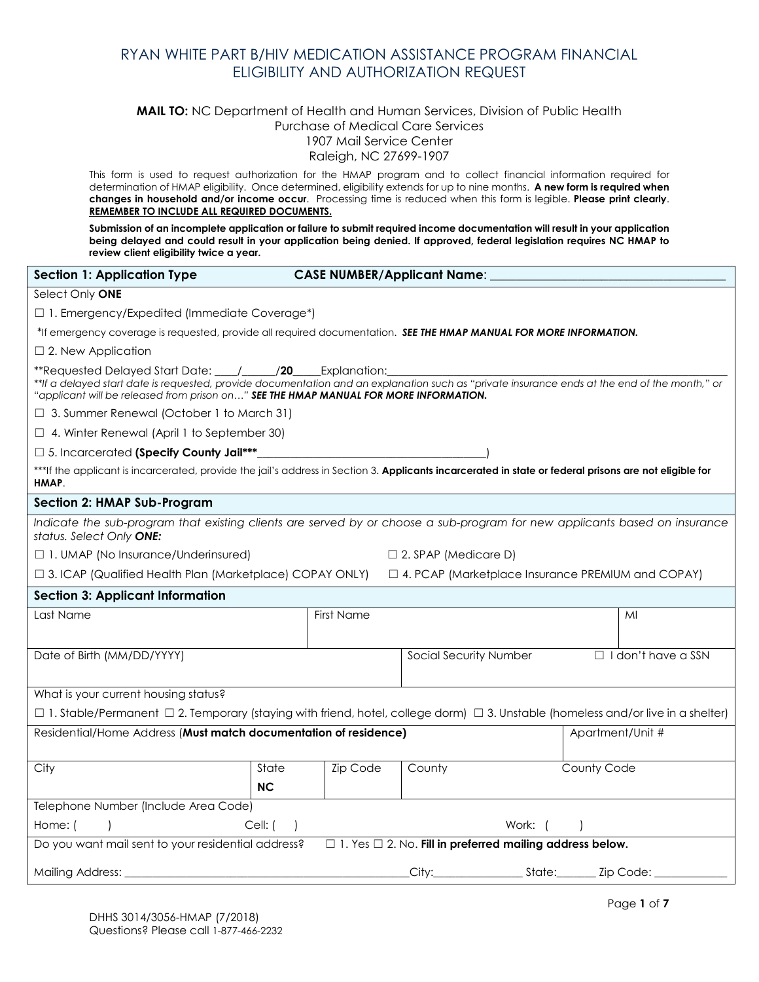#### **MAIL TO:** NC Department of Health and Human Services, Division of Public Health Purchase of Medical Care Services 1907 Mail Service Center

Raleigh, NC 27699-1907

This form is used to request authorization for the HMAP program and to collect financial information required for determination of HMAP eligibility. Once determined, eligibility extends for up to nine months. **A new form is required when changes in household and/or income occur**. Processing time is reduced when this form is legible. **Please print clearly**. **REMEMBER TO INCLUDE ALL REQUIRED DOCUMENTS.** 

**Submission of an incomplete application or failure to submit required income documentation will result in your application being delayed and could result in your application being denied. If approved, federal legislation requires NC HMAP to review client eligibility twice a year.** 

| <b>Section 1: Application Type</b>                                                                                                                              |                                                                                                                                                                                                                                                                                                           |                 | <b>CASE NUMBER/Applicant Name:</b> |  |             |                           |
|-----------------------------------------------------------------------------------------------------------------------------------------------------------------|-----------------------------------------------------------------------------------------------------------------------------------------------------------------------------------------------------------------------------------------------------------------------------------------------------------|-----------------|------------------------------------|--|-------------|---------------------------|
| Select Only ONE                                                                                                                                                 |                                                                                                                                                                                                                                                                                                           |                 |                                    |  |             |                           |
| □ 1. Emergency/Expedited (Immediate Coverage*)                                                                                                                  |                                                                                                                                                                                                                                                                                                           |                 |                                    |  |             |                           |
| *If emergency coverage is requested, provide all required documentation. SEE THE HMAP MANUAL FOR MORE INFORMATION.                                              |                                                                                                                                                                                                                                                                                                           |                 |                                    |  |             |                           |
| $\square$ 2. New Application                                                                                                                                    |                                                                                                                                                                                                                                                                                                           |                 |                                    |  |             |                           |
|                                                                                                                                                                 | **Requested Delayed Start Date: ____/______/20_____Explanation:<br>**If a delayed start date is requested, provide documentation and an explanation such as "private insurance ends at the end of the month," or<br>"applicant will be released from prison on" SEE THE HMAP MANUAL FOR MORE INFORMATION. |                 |                                    |  |             |                           |
| $\Box$ 3. Summer Renewal (October 1 to March 31)                                                                                                                |                                                                                                                                                                                                                                                                                                           |                 |                                    |  |             |                           |
| $\Box$ 4. Winter Renewal (April 1 to September 30)                                                                                                              |                                                                                                                                                                                                                                                                                                           |                 |                                    |  |             |                           |
| □ 5. Incarcerated (Specify County Jail***                                                                                                                       |                                                                                                                                                                                                                                                                                                           |                 |                                    |  |             |                           |
| ***If the applicant is incarcerated, provide the jail's address in Section 3. Applicants incarcerated in state or federal prisons are not eligible for<br>HMAP. |                                                                                                                                                                                                                                                                                                           |                 |                                    |  |             |                           |
| <b>Section 2: HMAP Sub-Program</b>                                                                                                                              |                                                                                                                                                                                                                                                                                                           |                 |                                    |  |             |                           |
| Indicate the sub-program that existing clients are served by or choose a sub-program for new applicants based on insurance<br>status. Select Only ONE:          |                                                                                                                                                                                                                                                                                                           |                 |                                    |  |             |                           |
| □ 1. UMAP (No Insurance/Underinsured)                                                                                                                           |                                                                                                                                                                                                                                                                                                           |                 | $\Box$ 2. SPAP (Medicare D)        |  |             |                           |
| □ 3. ICAP (Qualified Health Plan (Marketplace) COPAY ONLY) □ 4. PCAP (Marketplace Insurance PREMIUM and COPAY)                                                  |                                                                                                                                                                                                                                                                                                           |                 |                                    |  |             |                           |
| <b>Section 3: Applicant Information</b>                                                                                                                         |                                                                                                                                                                                                                                                                                                           |                 |                                    |  |             |                           |
| Last Name                                                                                                                                                       |                                                                                                                                                                                                                                                                                                           | First Name      |                                    |  |             | MI                        |
| Date of Birth (MM/DD/YYYY)                                                                                                                                      |                                                                                                                                                                                                                                                                                                           |                 | Social Security Number             |  |             | $\Box$ I don't have a SSN |
| What is your current housing status?                                                                                                                            |                                                                                                                                                                                                                                                                                                           |                 |                                    |  |             |                           |
| $\Box$ 1. Stable/Permanent $\Box$ 2. Temporary (staying with friend, hotel, college dorm) $\Box$ 3. Unstable (homeless and/or live in a shelter)                |                                                                                                                                                                                                                                                                                                           |                 |                                    |  |             |                           |
| Residential/Home Address (Must match documentation of residence)<br>Apartment/Unit #                                                                            |                                                                                                                                                                                                                                                                                                           |                 |                                    |  |             |                           |
| City                                                                                                                                                            | State                                                                                                                                                                                                                                                                                                     | <b>Zip Code</b> | County                             |  | County Code |                           |
|                                                                                                                                                                 | <b>NC</b>                                                                                                                                                                                                                                                                                                 |                 |                                    |  |             |                           |
| Telephone Number (Include Area Code)                                                                                                                            |                                                                                                                                                                                                                                                                                                           |                 |                                    |  |             |                           |
| Cell: (<br>Work: (<br>Home: (                                                                                                                                   |                                                                                                                                                                                                                                                                                                           |                 |                                    |  |             |                           |
| $\Box$ 1. Yes $\Box$ 2. No. Fill in preferred mailing address below.<br>Do you want mail sent to your residential address?                                      |                                                                                                                                                                                                                                                                                                           |                 |                                    |  |             |                           |
| Mailing Address: _                                                                                                                                              |                                                                                                                                                                                                                                                                                                           |                 |                                    |  |             |                           |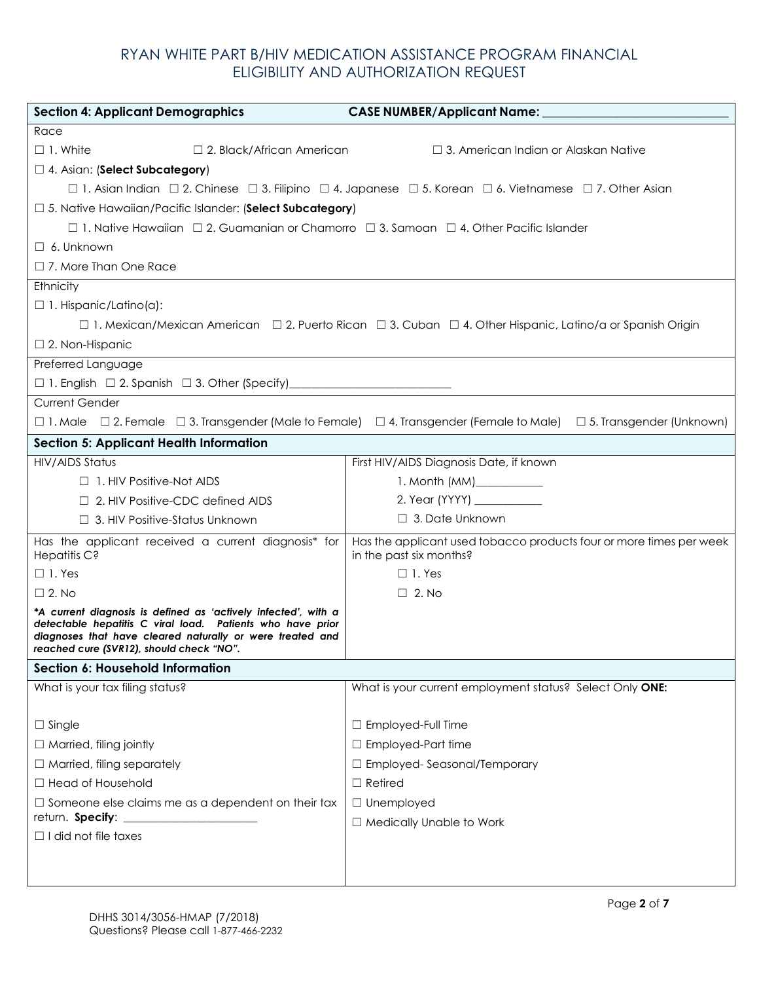| <b>Section 4: Applicant Demographics</b>                                                                                                                                                                                              | <b>CASE NUMBER/Applicant Name:</b>                                                                                                            |
|---------------------------------------------------------------------------------------------------------------------------------------------------------------------------------------------------------------------------------------|-----------------------------------------------------------------------------------------------------------------------------------------------|
| Race                                                                                                                                                                                                                                  |                                                                                                                                               |
| $\Box$ 1. White<br>$\Box$ 2. Black/African American                                                                                                                                                                                   | $\Box$ 3. American Indian or Alaskan Native                                                                                                   |
| □ 4. Asian: (Select Subcategory)                                                                                                                                                                                                      |                                                                                                                                               |
|                                                                                                                                                                                                                                       | $\Box$ 1. Asian Indian $\Box$ 2. Chinese $\Box$ 3. Filipino $\Box$ 4. Japanese $\Box$ 5. Korean $\Box$ 6. Vietnamese $\Box$ 7. Other Asian    |
| □ 5. Native Hawaiian/Pacific Islander: (Select Subcategory)                                                                                                                                                                           |                                                                                                                                               |
| □ 1. Native Hawaiian □ 2. Guamanian or Chamorro □ 3. Samoan □ 4. Other Pacific Islander                                                                                                                                               |                                                                                                                                               |
| $\Box$ 6. Unknown                                                                                                                                                                                                                     |                                                                                                                                               |
| $\Box$ 7. More Than One Race                                                                                                                                                                                                          |                                                                                                                                               |
| Ethnicity                                                                                                                                                                                                                             |                                                                                                                                               |
| $\Box$ 1. Hispanic/Latino(a):                                                                                                                                                                                                         |                                                                                                                                               |
|                                                                                                                                                                                                                                       | □ 1. Mexican/Mexican American □ 2. Puerto Rican □ 3. Cuban □ 4. Other Hispanic, Latino/a or Spanish Origin                                    |
| $\Box$ 2. Non-Hispanic                                                                                                                                                                                                                |                                                                                                                                               |
| Preferred Language                                                                                                                                                                                                                    |                                                                                                                                               |
|                                                                                                                                                                                                                                       |                                                                                                                                               |
| <b>Current Gender</b>                                                                                                                                                                                                                 |                                                                                                                                               |
|                                                                                                                                                                                                                                       | $\Box$ 1. Male $\Box$ 2. Female $\Box$ 3. Transgender (Male to Female) $\Box$ 4. Transgender (Female to Male) $\Box$ 5. Transgender (Unknown) |
| <b>Section 5: Applicant Health Information</b>                                                                                                                                                                                        |                                                                                                                                               |
| <b>HIV/AIDS Status</b>                                                                                                                                                                                                                | First HIV/AIDS Diagnosis Date, if known                                                                                                       |
| $\Box$ 1. HIV Positive-Not AIDS                                                                                                                                                                                                       | 1. Month (MM)____________                                                                                                                     |
| $\Box$ 2. HIV Positive-CDC defined AIDS                                                                                                                                                                                               |                                                                                                                                               |
| □ 3. HIV Positive-Status Unknown                                                                                                                                                                                                      | $\Box$ 3. Date Unknown                                                                                                                        |
| Has the applicant received a current diagnosis* for<br>Hepatitis C?                                                                                                                                                                   | Has the applicant used tobacco products four or more times per week<br>in the past six months?                                                |
| $\Box$ 1. Yes                                                                                                                                                                                                                         | $\Box$ 1. Yes                                                                                                                                 |
| $\Box$ 2. No                                                                                                                                                                                                                          | $\Box$ 2. No                                                                                                                                  |
| *A current diagnosis is defined as 'actively infected', with a<br>detectable hepatitis C viral load. Patients who have prior<br>diagnoses that have cleared naturally or were treated and<br>reached cure (SVR12), should check "NO". |                                                                                                                                               |
| <b>Section 6: Household Information</b>                                                                                                                                                                                               |                                                                                                                                               |
| What is your tax filing status?                                                                                                                                                                                                       | What is your current employment status? Select Only ONE:                                                                                      |
|                                                                                                                                                                                                                                       |                                                                                                                                               |
| $\Box$ Single                                                                                                                                                                                                                         | □ Employed-Full Time                                                                                                                          |
| $\Box$ Married, filing jointly                                                                                                                                                                                                        | $\Box$ Employed-Part time                                                                                                                     |
| $\Box$ Married, filing separately                                                                                                                                                                                                     | □ Employed-Seasonal/Temporary                                                                                                                 |
| □ Head of Household                                                                                                                                                                                                                   | $\Box$ Retired                                                                                                                                |
| $\Box$ Someone else claims me as a dependent on their tax                                                                                                                                                                             | $\Box$ Unemployed                                                                                                                             |
| return. Specify: _<br>$\Box$ I did not file taxes                                                                                                                                                                                     | □ Medically Unable to Work                                                                                                                    |
|                                                                                                                                                                                                                                       |                                                                                                                                               |
|                                                                                                                                                                                                                                       |                                                                                                                                               |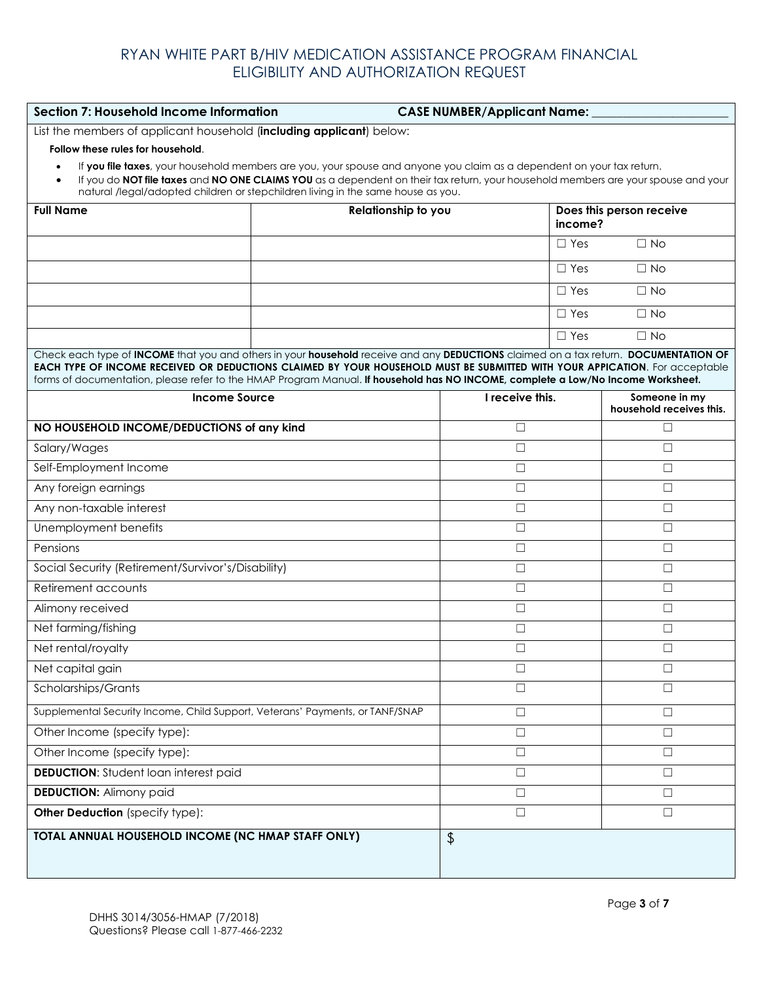| Section 7: Household Income Information<br><b>CASE NUMBER/Applicant Name:</b>                                                                                                                                                                                                                                                                                                                           |                     |                 |            |                                           |  |
|---------------------------------------------------------------------------------------------------------------------------------------------------------------------------------------------------------------------------------------------------------------------------------------------------------------------------------------------------------------------------------------------------------|---------------------|-----------------|------------|-------------------------------------------|--|
| List the members of applicant household (including applicant) below:                                                                                                                                                                                                                                                                                                                                    |                     |                 |            |                                           |  |
| Follow these rules for household.                                                                                                                                                                                                                                                                                                                                                                       |                     |                 |            |                                           |  |
| If you file taxes, your household members are you, your spouse and anyone you claim as a dependent on your tax return.<br>If you do NOT file taxes and NO ONE CLAIMS YOU as a dependent on their tax return, your household members are your spouse and your<br>natural /legal/adopted children or stepchildren living in the same house as you.                                                        |                     |                 |            |                                           |  |
| <b>Full Name</b>                                                                                                                                                                                                                                                                                                                                                                                        | Relationship to you |                 |            | Does this person receive<br>income?       |  |
|                                                                                                                                                                                                                                                                                                                                                                                                         |                     |                 | $\Box$ Yes | $\Box$ No                                 |  |
|                                                                                                                                                                                                                                                                                                                                                                                                         |                     |                 | $\Box$ Yes | $\Box$ No                                 |  |
|                                                                                                                                                                                                                                                                                                                                                                                                         |                     |                 | $\Box$ Yes | $\Box$ No                                 |  |
|                                                                                                                                                                                                                                                                                                                                                                                                         |                     |                 | $\Box$ Yes | $\Box$ No                                 |  |
|                                                                                                                                                                                                                                                                                                                                                                                                         |                     |                 | $\Box$ Yes | $\Box$ No                                 |  |
| Check each type of INCOME that you and others in your household receive and any DEDUCTIONS claimed on a tax return. DOCUMENTATION OF<br>EACH TYPE OF INCOME RECEIVED OR DEDUCTIONS CLAIMED BY YOUR HOUSEHOLD MUST BE SUBMITTED WITH YOUR APPICATION. For acceptable<br>forms of documentation, please refer to the HMAP Program Manual. If household has NO INCOME, complete a Low/No Income Worksheet. |                     |                 |            |                                           |  |
| <b>Income Source</b>                                                                                                                                                                                                                                                                                                                                                                                    |                     | I receive this. |            | Someone in my<br>household receives this. |  |
| NO HOUSEHOLD INCOME/DEDUCTIONS of any kind                                                                                                                                                                                                                                                                                                                                                              |                     | $\Box$          |            | □                                         |  |
| Salary/Wages                                                                                                                                                                                                                                                                                                                                                                                            |                     | $\Box$          |            |                                           |  |
| Self-Employment Income                                                                                                                                                                                                                                                                                                                                                                                  |                     | □               |            | $\Box$                                    |  |
| Any foreign earnings                                                                                                                                                                                                                                                                                                                                                                                    |                     | $\Box$          |            | $\Box$                                    |  |
| Any non-taxable interest                                                                                                                                                                                                                                                                                                                                                                                |                     | $\Box$          |            | $\Box$                                    |  |
| Unemployment benefits                                                                                                                                                                                                                                                                                                                                                                                   |                     | $\Box$          |            | $\Box$                                    |  |
| Pensions                                                                                                                                                                                                                                                                                                                                                                                                |                     | $\Box$          |            | $\Box$                                    |  |
| Social Security (Retirement/Survivor's/Disability)                                                                                                                                                                                                                                                                                                                                                      |                     | $\Box$          |            | $\Box$                                    |  |
| Retirement accounts                                                                                                                                                                                                                                                                                                                                                                                     |                     | $\Box$          |            | $\Box$                                    |  |
| Alimony received                                                                                                                                                                                                                                                                                                                                                                                        |                     | $\Box$          |            | $\Box$                                    |  |
| Net farming/fishing                                                                                                                                                                                                                                                                                                                                                                                     |                     | $\Box$          |            | $\Box$                                    |  |
| Net rental/royalty                                                                                                                                                                                                                                                                                                                                                                                      |                     | □               |            | $\Box$                                    |  |
| Net capital gain                                                                                                                                                                                                                                                                                                                                                                                        |                     | $\Box$          |            | $\Box$                                    |  |
| Scholarships/Grants                                                                                                                                                                                                                                                                                                                                                                                     |                     | $\Box$          |            | $\Box$                                    |  |
| Supplemental Security Income, Child Support, Veterans' Payments, or TANF/SNAP                                                                                                                                                                                                                                                                                                                           |                     | $\Box$          |            | $\Box$                                    |  |
| Other Income (specify type):                                                                                                                                                                                                                                                                                                                                                                            |                     | $\Box$          |            | $\Box$                                    |  |
| Other Income (specify type):                                                                                                                                                                                                                                                                                                                                                                            |                     | $\Box$          |            | $\Box$                                    |  |
| <b>DEDUCTION:</b> Student loan interest paid                                                                                                                                                                                                                                                                                                                                                            |                     | $\Box$          |            | $\Box$                                    |  |
| <b>DEDUCTION: Alimony paid</b>                                                                                                                                                                                                                                                                                                                                                                          |                     | $\Box$          |            | $\Box$                                    |  |
| Other Deduction (specify type):                                                                                                                                                                                                                                                                                                                                                                         |                     | $\Box$          |            | $\Box$                                    |  |
| TOTAL ANNUAL HOUSEHOLD INCOME (NC HMAP STAFF ONLY)                                                                                                                                                                                                                                                                                                                                                      |                     | \$              |            |                                           |  |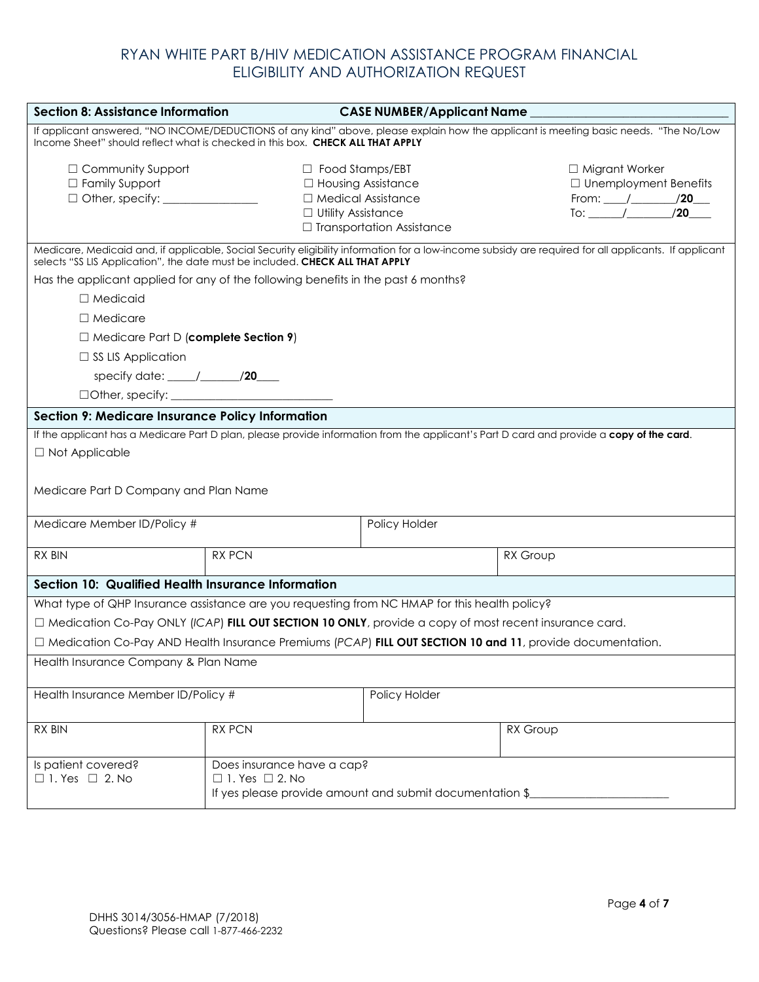| <b>Section 8: Assistance Information</b>                                                                                                                                                                                |                                                                                                     | <b>CASE NUMBER/Applicant Name</b>                                                                                                                     |                                                                                       |  |
|-------------------------------------------------------------------------------------------------------------------------------------------------------------------------------------------------------------------------|-----------------------------------------------------------------------------------------------------|-------------------------------------------------------------------------------------------------------------------------------------------------------|---------------------------------------------------------------------------------------|--|
| If applicant answered, "NO INCOME/DEDUCTIONS of any kind" above, please explain how the applicant is meeting basic needs. "The No/Low<br>Income Sheet" should reflect what is checked in this box. CHECK ALL THAT APPLY |                                                                                                     |                                                                                                                                                       |                                                                                       |  |
| □ Community Support<br>□ Family Support                                                                                                                                                                                 | $\Box$ Food Stamps/EBT<br>□ Housing Assistance<br>□ Medical Assistance<br>$\Box$ Utility Assistance | $\Box$ Transportation Assistance                                                                                                                      | □ Migrant Worker<br>$\Box$ Unemployment Benefits<br>From: $/20$<br>To: $\frac{1}{20}$ |  |
| selects "SS LIS Application", the date must be included. CHECK ALL THAT APPLY                                                                                                                                           |                                                                                                     | Medicare, Medicaid and, if applicable, Social Security eligibility information for a low-income subsidy are required for all applicants. If applicant |                                                                                       |  |
| Has the applicant applied for any of the following benefits in the past 6 months?                                                                                                                                       |                                                                                                     |                                                                                                                                                       |                                                                                       |  |
| $\Box$ Medicaid                                                                                                                                                                                                         |                                                                                                     |                                                                                                                                                       |                                                                                       |  |
| $\Box$ Medicare                                                                                                                                                                                                         |                                                                                                     |                                                                                                                                                       |                                                                                       |  |
| $\Box$ Medicare Part D (complete Section 9)                                                                                                                                                                             |                                                                                                     |                                                                                                                                                       |                                                                                       |  |
| $\Box$ SS LIS Application                                                                                                                                                                                               |                                                                                                     |                                                                                                                                                       |                                                                                       |  |
| specify date: $\frac{1}{\sqrt{20}}$                                                                                                                                                                                     |                                                                                                     |                                                                                                                                                       |                                                                                       |  |
|                                                                                                                                                                                                                         |                                                                                                     |                                                                                                                                                       |                                                                                       |  |
| <b>Section 9: Medicare Insurance Policy Information</b>                                                                                                                                                                 |                                                                                                     |                                                                                                                                                       |                                                                                       |  |
| If the applicant has a Medicare Part D plan, please provide information from the applicant's Part D card and provide a copy of the card.<br>□ Not Applicable<br>Medicare Part D Company and Plan Name                   |                                                                                                     |                                                                                                                                                       |                                                                                       |  |
| Medicare Member ID/Policy #                                                                                                                                                                                             |                                                                                                     | Policy Holder                                                                                                                                         |                                                                                       |  |
| RX BIN                                                                                                                                                                                                                  | <b>RX PCN</b>                                                                                       | RX Group                                                                                                                                              |                                                                                       |  |
| Section 10: Qualified Health Insurance Information                                                                                                                                                                      |                                                                                                     |                                                                                                                                                       |                                                                                       |  |
|                                                                                                                                                                                                                         |                                                                                                     | What type of QHP Insurance assistance are you requesting from NC HMAP for this health policy?                                                         |                                                                                       |  |
|                                                                                                                                                                                                                         |                                                                                                     | □ Medication Co-Pay ONLY (ICAP) FILL OUT SECTION 10 ONLY, provide a copy of most recent insurance card.                                               |                                                                                       |  |
|                                                                                                                                                                                                                         |                                                                                                     | $\Box$ Medication Co-Pay AND Health Insurance Premiums (PCAP) FILL OUT SECTION 10 and 11, provide documentation.                                      |                                                                                       |  |
| Health Insurance Company & Plan Name                                                                                                                                                                                    |                                                                                                     |                                                                                                                                                       |                                                                                       |  |
| Health Insurance Member ID/Policy #                                                                                                                                                                                     |                                                                                                     | Policy Holder                                                                                                                                         |                                                                                       |  |
| <b>RX BIN</b>                                                                                                                                                                                                           | <b>RX PCN</b>                                                                                       | RX Group                                                                                                                                              |                                                                                       |  |
| Is patient covered?<br>$\Box$ 1. Yes $\Box$ 2. No                                                                                                                                                                       | Does insurance have a cap?<br>$\Box$ 1. Yes $\Box$ 2. No                                            | If yes please provide amount and submit documentation \$                                                                                              |                                                                                       |  |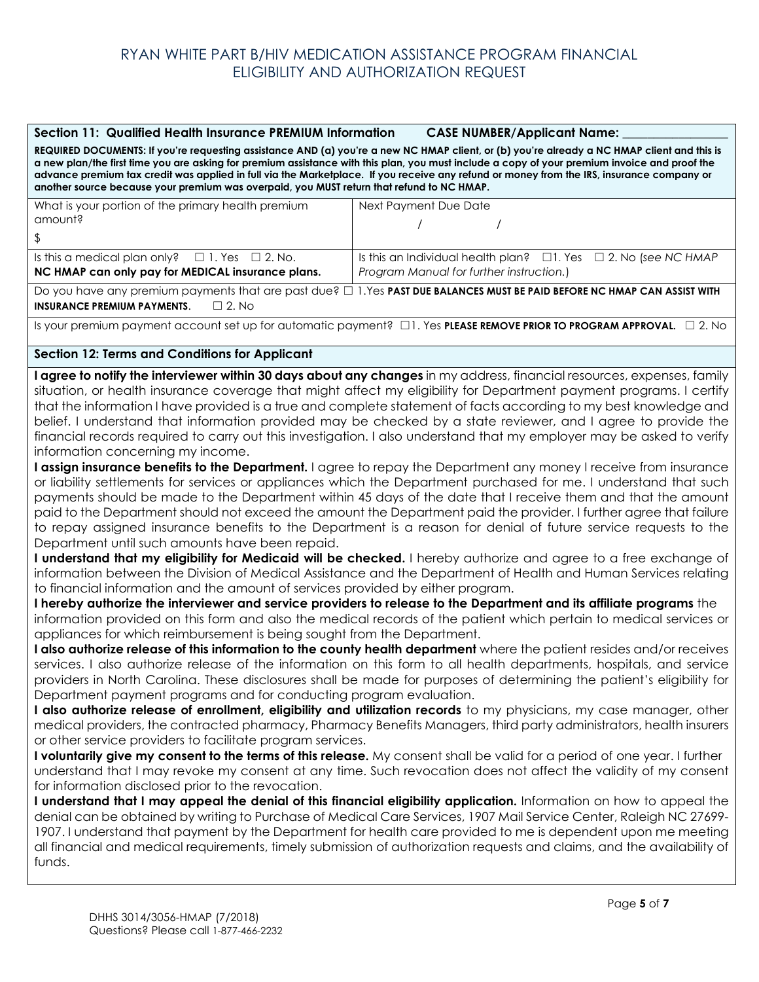#### Section 11: Qualified Health Insurance PREMIUM Information CASE NUMBER/Applicant Name:

**REQUIRED DOCUMENTS: If you're requesting assistance AND (a) you're a new NC HMAP client, or (b) you're already a NC HMAP client and this is a new plan/the first time you are asking for premium assistance with this plan, you must include a copy of your premium invoice and proof the advance premium tax credit was applied in full via the Marketplace. If you receive any refund or money from the IRS, insurance company or another source because your premium was overpaid, you MUST return that refund to NC HMAP.** 

| What is your portion of the primary health premium       | Next Payment Due Date                                                       |  |  |  |
|----------------------------------------------------------|-----------------------------------------------------------------------------|--|--|--|
| amount?                                                  |                                                                             |  |  |  |
| <sup>S</sup>                                             |                                                                             |  |  |  |
| Is this a medical plan only? $\Box$ 1. Yes $\Box$ 2. No. | Is this an Individual health plan? $\Box$ 1. Yes $\Box$ 2. No (see NC HMAP) |  |  |  |
| NC HMAP can only pay for MEDICAL insurance plans.        | Program Manual for further instruction.)                                    |  |  |  |

Do you have any premium payments that are past due? □ 1.Yes **PAST DUE BALANCES MUST BE PAID BEFORE NC HMAP CAN ASSIST WITH INSURANCE PREMIUM PAYMENTS**. ☐ 2. No

Is your premium payment account set up for automatic payment? ☐1. Yes **PLEASE REMOVE PRIOR TO PROGRAM APPROVAL.** ☐ 2. No

#### **Section 12: Terms and Conditions for Applicant**

**I agree to notify the interviewer within 30 days about any changes** in my address, financial resources, expenses, family situation, or health insurance coverage that might affect my eligibility for Department payment programs. I certify that the information I have provided is a true and complete statement of facts according to my best knowledge and belief. I understand that information provided may be checked by a state reviewer, and I agree to provide the financial records required to carry out this investigation. I also understand that my employer may be asked to verify information concerning my income.

**I assign insurance benefits to the Department.** I agree to repay the Department any money I receive from insurance or liability settlements for services or appliances which the Department purchased for me. I understand that such payments should be made to the Department within 45 days of the date that I receive them and that the amount paid to the Department should not exceed the amount the Department paid the provider. I further agree that failure to repay assigned insurance benefits to the Department is a reason for denial of future service requests to the Department until such amounts have been repaid.

**I understand that my eligibility for Medicaid will be checked.** I hereby authorize and agree to a free exchange of information between the Division of Medical Assistance and the Department of Health and Human Services relating to financial information and the amount of services provided by either program.

**I hereby authorize the interviewer and service providers to release to the Department and its affiliate programs** the information provided on this form and also the medical records of the patient which pertain to medical services or appliances for which reimbursement is being sought from the Department.

**I also authorize release of this information to the county health department** where the patient resides and/or receives services. I also authorize release of the information on this form to all health departments, hospitals, and service providers in North Carolina. These disclosures shall be made for purposes of determining the patient's eligibility for Department payment programs and for conducting program evaluation.

**I also authorize release of enrollment, eligibility and utilization records** to my physicians, my case manager, other medical providers, the contracted pharmacy, Pharmacy Benefits Managers, third party administrators, health insurers or other service providers to facilitate program services.

**I voluntarily give my consent to the terms of this release.** My consent shall be valid for a period of one year. I further understand that I may revoke my consent at any time. Such revocation does not affect the validity of my consent for information disclosed prior to the revocation.

**I understand that I may appeal the denial of this financial eligibility application.** Information on how to appeal the denial can be obtained by writing to Purchase of Medical Care Services, 1907 Mail Service Center, Raleigh NC 27699- 1907. I understand that payment by the Department for health care provided to me is dependent upon me meeting all financial and medical requirements, timely submission of authorization requests and claims, and the availability of funds.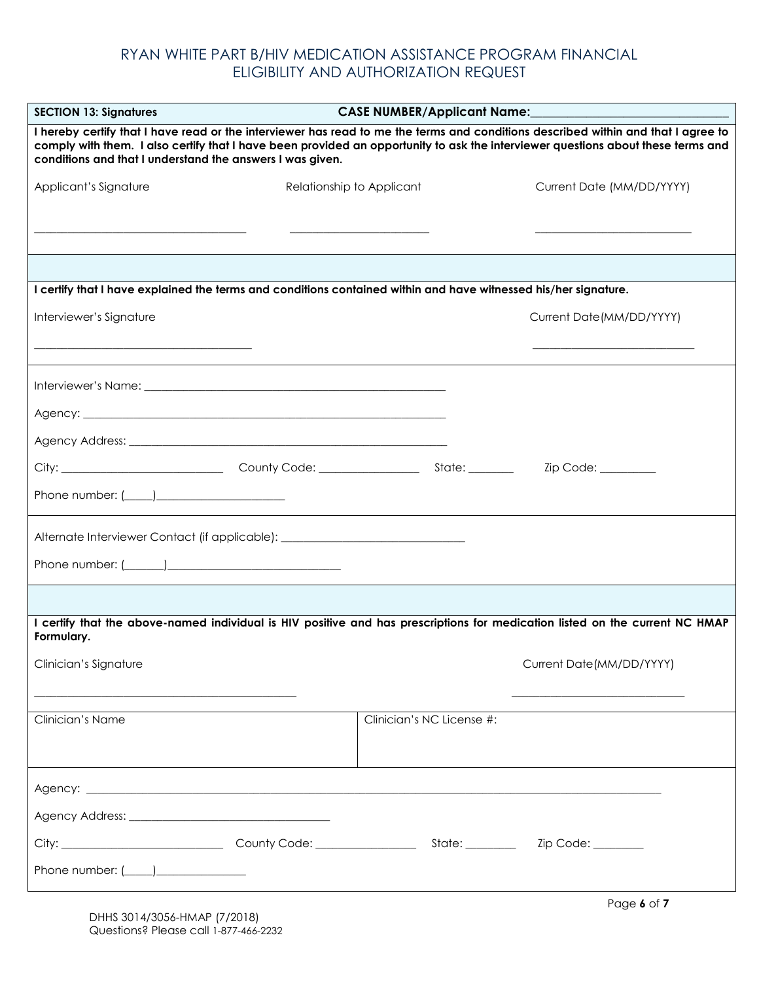| <b>SECTION 13: Signatures</b>                                                                                                                                                                                                                                                                                                      | <b>CASE NUMBER/Applicant Name:</b> |                           |  |  |
|------------------------------------------------------------------------------------------------------------------------------------------------------------------------------------------------------------------------------------------------------------------------------------------------------------------------------------|------------------------------------|---------------------------|--|--|
| I hereby certify that I have read or the interviewer has read to me the terms and conditions described within and that I agree to<br>comply with them. I also certify that I have been provided an opportunity to ask the interviewer questions about these terms and<br>conditions and that I understand the answers I was given. |                                    |                           |  |  |
| Applicant's Signature                                                                                                                                                                                                                                                                                                              | Relationship to Applicant          | Current Date (MM/DD/YYYY) |  |  |
|                                                                                                                                                                                                                                                                                                                                    |                                    |                           |  |  |
|                                                                                                                                                                                                                                                                                                                                    |                                    |                           |  |  |
|                                                                                                                                                                                                                                                                                                                                    |                                    |                           |  |  |
| I certify that I have explained the terms and conditions contained within and have witnessed his/her signature.                                                                                                                                                                                                                    |                                    |                           |  |  |
| Interviewer's Signature                                                                                                                                                                                                                                                                                                            |                                    | Current Date(MM/DD/YYYY)  |  |  |
|                                                                                                                                                                                                                                                                                                                                    |                                    |                           |  |  |
|                                                                                                                                                                                                                                                                                                                                    |                                    |                           |  |  |
|                                                                                                                                                                                                                                                                                                                                    |                                    |                           |  |  |
|                                                                                                                                                                                                                                                                                                                                    |                                    |                           |  |  |
|                                                                                                                                                                                                                                                                                                                                    |                                    |                           |  |  |
|                                                                                                                                                                                                                                                                                                                                    |                                    |                           |  |  |
| Phone number: $(\_\_\_\_)$                                                                                                                                                                                                                                                                                                         |                                    |                           |  |  |
| Alternate Interviewer Contact (if applicable): _________________________________                                                                                                                                                                                                                                                   |                                    |                           |  |  |
|                                                                                                                                                                                                                                                                                                                                    |                                    |                           |  |  |
|                                                                                                                                                                                                                                                                                                                                    |                                    |                           |  |  |
| I certify that the above-named individual is HIV positive and has prescriptions for medication listed on the current NC HMAP<br>Formulary.                                                                                                                                                                                         |                                    |                           |  |  |
| Clinician's Signature                                                                                                                                                                                                                                                                                                              |                                    | Current Date(MM/DD/YYYY)  |  |  |
| Clinician's Name                                                                                                                                                                                                                                                                                                                   | Clinician's NC License #:          |                           |  |  |
|                                                                                                                                                                                                                                                                                                                                    |                                    |                           |  |  |
|                                                                                                                                                                                                                                                                                                                                    |                                    |                           |  |  |
|                                                                                                                                                                                                                                                                                                                                    |                                    |                           |  |  |
|                                                                                                                                                                                                                                                                                                                                    |                                    |                           |  |  |
| Phone number: $(\_\_ )$                                                                                                                                                                                                                                                                                                            |                                    |                           |  |  |